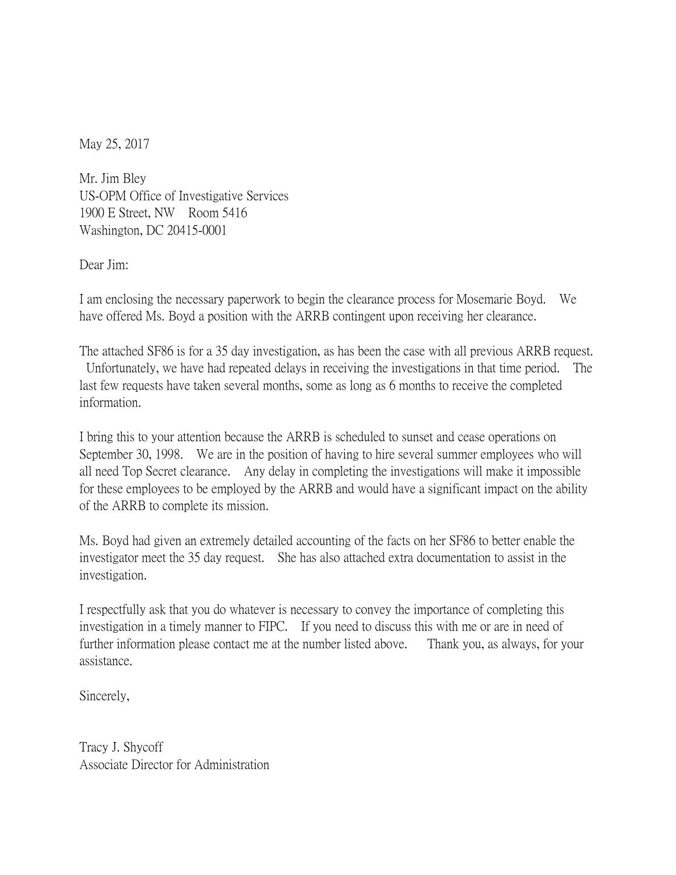May 25, 2017

Mr. Jim Bley US-OPM Office of Investigative Services 1900 E Street, NW Room 5416 Washington, DC 20415-0001

Dear Jim:

I am enclosing the necessary paperwork to begin the clearance process for Mosemarie Boyd. We have offered Ms. Boyd a position with the ARRB contingent upon receiving her clearance.

The attached SF86 is for a 35 day investigation, as has been the case with all previous ARRB request. Unfortunately, we have had repeated delays in receiving the investigations in that time period. The last few requests have taken several months, some as long as 6 months to receive the completed information.

I bring this to your attention because the ARRB is scheduled to sunset and cease operations on September 30, 1998. We are in the position of having to hire several summer employees who will all need Top Secret clearance. Any delay in completing the investigations will make it impossible for these employees to be employed by the ARRB and would have a significant impact on the ability of the ARRB to complete its mission.

Ms. Boyd had given an extremely detailed accounting of the facts on her SF86 to better enable the investigator meet the 35 day request. She has also attached extra documentation to assist in the investigation.

I respectfully ask that you do whatever is necessary to convey the importance of completing this investigation in a timely manner to FIPC. If you need to discuss this with me or are in need of further information please contact me at the number listed above. Thank you, as always, for your assistance.

Sincerely,

Tracy J. Shycoff Associate Director for Administration